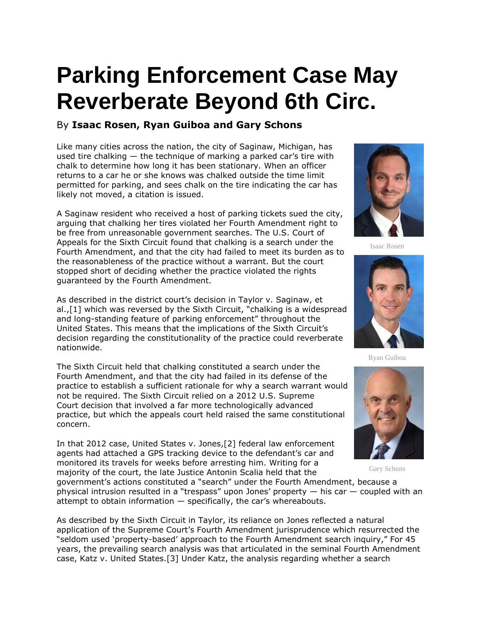## **Parking Enforcement Case May Reverberate Beyond 6th Circ.**

## By **Isaac Rosen, Ryan Guiboa and Gary Schons**

Like many cities across the nation, the city of Saginaw, Michigan, has used tire chalking — the technique of marking a parked car's tire with chalk to determine how long it has been stationary. When an officer returns to a car he or she knows was chalked outside the time limit permitted for parking, and sees chalk on the tire indicating the car has likely not moved, a citation is issued.

A Saginaw resident who received a host of parking tickets sued the city, arguing that chalking her tires violated her Fourth Amendment right to be free from unreasonable government searches. The [U.S. Court of](https://www.law360.com/agencies/u-s-court-of-appeals-for-the-sixth-circuit)  [Appeals for the Sixth Circuit](https://www.law360.com/agencies/u-s-court-of-appeals-for-the-sixth-circuit) found that chalking is a search under the Fourth Amendment, and that the city had failed to meet its burden as to the reasonableness of the practice without a warrant. But the court stopped short of deciding whether the practice violated the rights guaranteed by the Fourth Amendment.

As described in the district court's decision in Taylor v. Saginaw, et al.,[1] which was reversed by the Sixth Circuit, "chalking is a widespread and long-standing feature of parking enforcement" throughout the United States. This means that the implications of the Sixth Circuit's decision regarding the constitutionality of the practice could reverberate nationwide.

The Sixth Circuit held that chalking constituted a search under the Fourth Amendment, and that the city had failed in its defense of the practice to establish a sufficient rationale for why a search warrant would not be required. The Sixth Circuit relied on a 2012 [U.S. Supreme](https://www.law360.com/agencies/u-s-supreme-court)  [Court](https://www.law360.com/agencies/u-s-supreme-court) decision that involved a far more technologically advanced practice, but which the appeals court held raised the same constitutional concern.

In that 2012 case, United States v. Jones,[2] federal law enforcement agents had attached a GPS tracking device to the defendant's car and monitored its travels for weeks before arresting him. Writing for a majority of the court, the late Justice Antonin Scalia held that the

Isaac Rosen



Ryan Guiboa



Gary Schons

government's actions constituted a "search" under the Fourth Amendment, because a physical intrusion resulted in a "trespass" upon Jones' property — his car — coupled with an attempt to obtain information  $-$  specifically, the car's whereabouts.

As described by the Sixth Circuit in Taylor, its reliance on Jones reflected a natural application of the Supreme Court's Fourth Amendment jurisprudence which resurrected the "seldom used 'property-based' approach to the Fourth Amendment search inquiry," For 45 years, the prevailing search analysis was that articulated in the seminal Fourth Amendment case, Katz v. United States.[3] Under Katz, the analysis regarding whether a search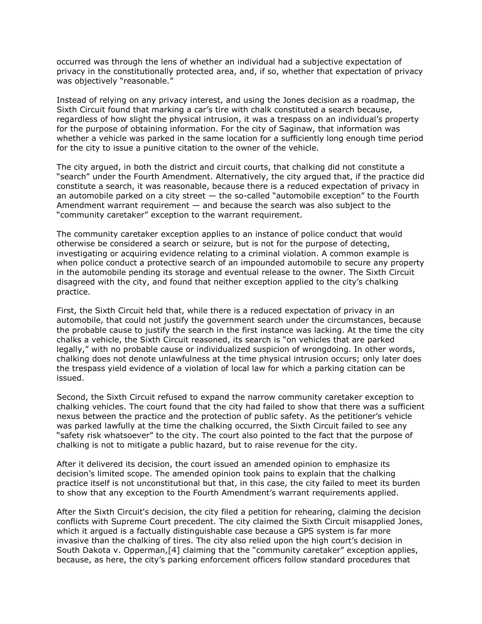occurred was through the lens of whether an individual had a subjective expectation of privacy in the constitutionally protected area, and, if so, whether that expectation of privacy was objectively "reasonable."

Instead of relying on any privacy interest, and using the Jones decision as a roadmap, the Sixth Circuit found that marking a car's tire with chalk constituted a search because, regardless of how slight the physical intrusion, it was a trespass on an individual's property for the purpose of obtaining information. For the city of Saginaw, that information was whether a vehicle was parked in the same location for a sufficiently long enough time period for the city to issue a punitive citation to the owner of the vehicle.

The city argued, in both the district and circuit courts, that chalking did not constitute a "search" under the Fourth Amendment. Alternatively, the city argued that, if the practice did constitute a search, it was reasonable, because there is a reduced expectation of privacy in an automobile parked on a city street — the so-called "automobile exception" to the Fourth Amendment warrant requirement — and because the search was also subject to the "community caretaker" exception to the warrant requirement.

The community caretaker exception applies to an instance of police conduct that would otherwise be considered a search or seizure, but is not for the purpose of detecting, investigating or acquiring evidence relating to a criminal violation. A common example is when police conduct a protective search of an impounded automobile to secure any property in the automobile pending its storage and eventual release to the owner. The Sixth Circuit disagreed with the city, and found that neither exception applied to the city's chalking practice.

First, the Sixth Circuit held that, while there is a reduced expectation of privacy in an automobile, that could not justify the government search under the circumstances, because the probable cause to justify the search in the first instance was lacking. At the time the city chalks a vehicle, the Sixth Circuit reasoned, its search is "on vehicles that are parked legally," with no probable cause or individualized suspicion of wrongdoing. In other words, chalking does not denote unlawfulness at the time physical intrusion occurs; only later does the trespass yield evidence of a violation of local law for which a parking citation can be issued.

Second, the Sixth Circuit refused to expand the narrow community caretaker exception to chalking vehicles. The court found that the city had failed to show that there was a sufficient nexus between the practice and the protection of public safety. As the petitioner's vehicle was parked lawfully at the time the chalking occurred, the Sixth Circuit failed to see any "safety risk whatsoever" to the city. The court also pointed to the fact that the purpose of chalking is not to mitigate a public hazard, but to raise revenue for the city.

After it delivered its decision, the court issued an amended opinion to emphasize its decision's limited scope. The amended opinion took pains to explain that the chalking practice itself is not unconstitutional but that, in this case, the city failed to meet its burden to show that any exception to the Fourth Amendment's warrant requirements applied.

After the Sixth Circuit's decision, the city filed a petition for rehearing, claiming the decision conflicts with Supreme Court precedent. The city claimed the Sixth Circuit misapplied Jones, which it argued is a factually distinguishable case because a GPS system is far more invasive than the chalking of tires. The city also relied upon the high court's decision in South Dakota v. Opperman,[4] claiming that the "community caretaker" exception applies, because, as here, the city's parking enforcement officers follow standard procedures that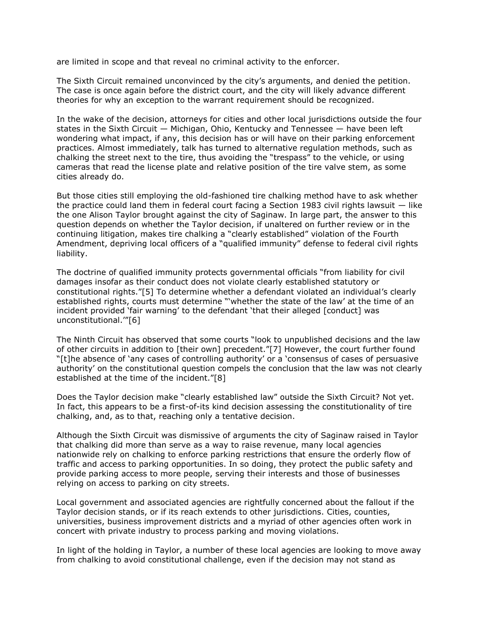are limited in scope and that reveal no criminal activity to the enforcer.

The Sixth Circuit remained unconvinced by the city's arguments, and denied the petition. The case is once again before the district court, and the city will likely advance different theories for why an exception to the warrant requirement should be recognized.

In the wake of the decision, attorneys for cities and other local jurisdictions outside the four states in the Sixth Circuit — Michigan, Ohio, Kentucky and Tennessee — have been left wondering what impact, if any, this decision has or will have on their parking enforcement practices. Almost immediately, talk has turned to alternative regulation methods, such as chalking the street next to the tire, thus avoiding the "trespass" to the vehicle, or using cameras that read the license plate and relative position of the tire valve stem, as some cities already do.

But those cities still employing the old-fashioned tire chalking method have to ask whether the practice could land them in federal court facing a Section 1983 civil rights lawsuit — like the one Alison Taylor brought against the city of Saginaw. In large part, the answer to this question depends on whether the Taylor decision, if unaltered on further review or in the continuing litigation, makes tire chalking a "clearly established" violation of the Fourth Amendment, depriving local officers of a "qualified immunity" defense to federal civil rights liability.

The doctrine of qualified immunity protects governmental officials "from liability for civil damages insofar as their conduct does not violate clearly established statutory or constitutional rights."[5] To determine whether a defendant violated an individual's clearly established rights, courts must determine "'whether the state of the law' at the time of an incident provided 'fair warning' to the defendant 'that their alleged [conduct] was unconstitutional.'"[6]

The Ninth Circuit has observed that some courts "look to unpublished decisions and the law of other circuits in addition to [their own] precedent."[7] However, the court further found "[t]he absence of 'any cases of controlling authority' or a 'consensus of cases of persuasive authority' on the constitutional question compels the conclusion that the law was not clearly established at the time of the incident."[8]

Does the Taylor decision make "clearly established law" outside the Sixth Circuit? Not yet. In fact, this appears to be a first-of-its kind decision assessing the constitutionality of tire chalking, and, as to that, reaching only a tentative decision.

Although the Sixth Circuit was dismissive of arguments the city of Saginaw raised in Taylor that chalking did more than serve as a way to raise revenue, many local agencies nationwide rely on chalking to enforce parking restrictions that ensure the orderly flow of traffic and access to parking opportunities. In so doing, they protect the public safety and provide parking access to more people, serving their interests and those of businesses relying on access to parking on city streets.

Local government and associated agencies are rightfully concerned about the fallout if the Taylor decision stands, or if its reach extends to other jurisdictions. Cities, counties, universities, business improvement districts and a myriad of other agencies often work in concert with private industry to process parking and moving violations.

In light of the holding in Taylor, a number of these local agencies are looking to move away from chalking to avoid constitutional challenge, even if the decision may not stand as